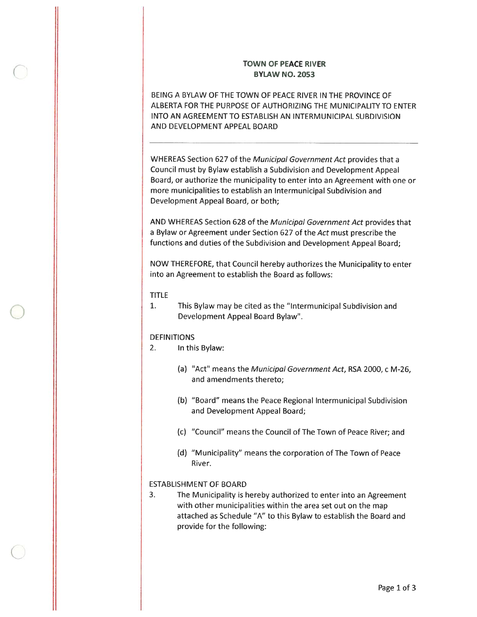# TOWN OF PEACE RIVER BYLAW NO. 2053

BEING A BYLAW OF THE TOWN OF PEACE RIVER IN THE PROVINCE OF ALBERTA FOR THE PURPOSE OF AUTHORIZING THE MUNICIPALITY TO ENTER INTO AN AGREEMENT TO ESTABLISH AN INTERMUNICIPAL SUBDIVISION AND DEVELOPMENT APPEAL BOARD

WHEREAS Section 627 of the Municipal Government Act provides that <sup>a</sup> Council must by Bylaw establish <sup>a</sup> Subdivision and Development Appeal Board, or authorize the municipality to enter into an Agreement with one or more municipalities to establish an lntermunicipal Subdivision and Development Appeal Board, or both;

AND WHEREAS Section 628 of the Municipal Government Act provides that <sup>a</sup> Bylaw or Agreement under Section 627 of the Act must prescribe the functions and duties of the Subdivision and Development Appeal Board;

NOW THEREFORE, that Council hereby authorizes the Municipality to enter into an Agreement to establish the Board as follows:

### TITLE

1. This Bylaw may be cited as the "Intermunicipal Subdivision and Development Appeal Board Bylaw'.

### DEFINITIONS

- 2. In this Bylaw:
	- (a) "Act" means the Municipal Government Act, RSA 2000, c M-26, and amendments thereto;
	- (b> "Board" means the Peace Regional lntermunicipal Subdivision and Development Appeal Board;
	- (c> "Council" means the Council of The Town of Peace River; and
	- (d) "Municipality" means the corporation of The Town of Peace River.

### ESTABLISHMENT OF BOARD

3. The Municipality is hereby authorized to enter into an Agreement with other municipalities within the area set out on the map attached as Schedule "A" to this Bylaw to establish the Board and provide for the following: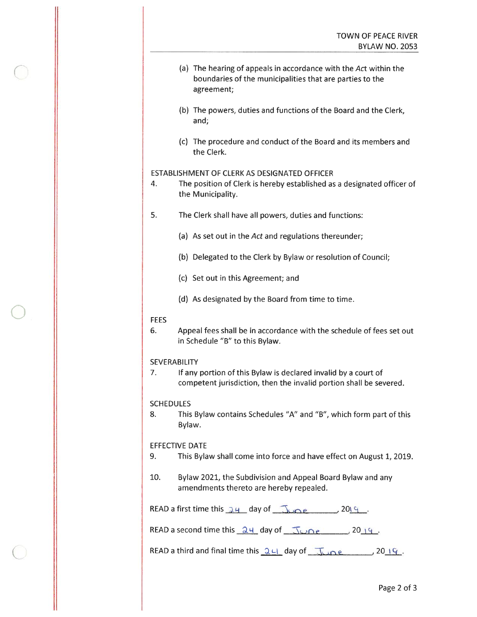- (a) The hearing of appeals in accordance with the Act within the boundaries of the municipalities that are parties to the agreement;
- (b) The powers, duties and functions of the Board and the Clerk, and;
- (c) The procedure and conduct of the Board and its members and the Clerk.

### ESTABLISHMENT OF CLERK AS DESIGNATED OFFICER

- 4. The position of Clerk is hereby established as <sup>a</sup> designated officer of the Municipality.
- 5. The Clerk shall have all powers, duties and functions:
	- (a) As set out in the Act and regulations thereunder;
	- (b) Delegated to the Clerk by Bylaw or resolution of Council;
	- (c) Set out in this Agreement; and
	- (d) As designated by the Board from time to time.

### **FEES**

6. Appeal fees shall be in accordance with the schedule of fees set out in Schedule "B" to this Bylaw.

## **SEVERABILITY**

7. If any portion of this Bylaw is declared invalid by a court of competent jurisdiction, then the invalid portion shall be severed.

### SCHEDULES

8. This Bylaw contains Schedules "A" and "B", which form par<sup>t</sup> of this Bylaw.

## EFFECTIVE DATE

- 9. This Bylaw shall come into force and have effect on August 1, 2019.
- 10. Bylaw 2021, the Subdivision and Appeal Board Bylaw and any amendments thereto are hereby repealed.

READ a first time this  $24$  day of  $\sqrt{2}$  and  $\sqrt{2019}$ .

READ a second time this  $\frac{24}{4}$  day of  $\frac{100e}{4}$ ,  $2019$ .

READ a third and final time this  $2H$  day of  $\frac{1}{2}$  and  $\frac{1}{2}$ .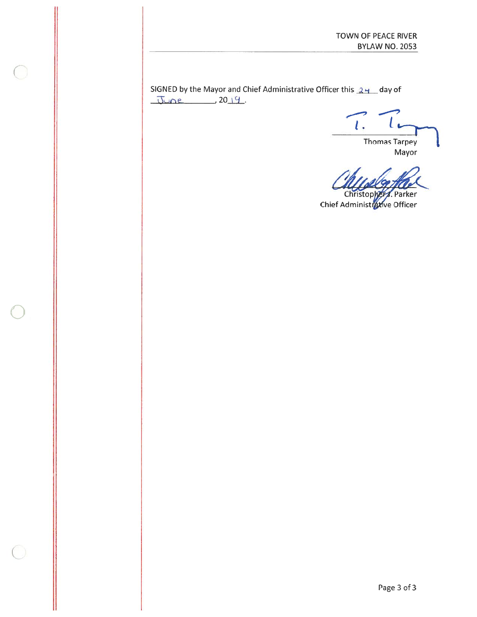SIGNED by the Mayor and Chief Administrative Officer this  $24$  day of  $June. 2019.$ 

 $l_{\pm}$  $\iota$ 

**Thomas Tarpey** Mayor

**Christophers**, Parker Chief Administr**6x**ive Officer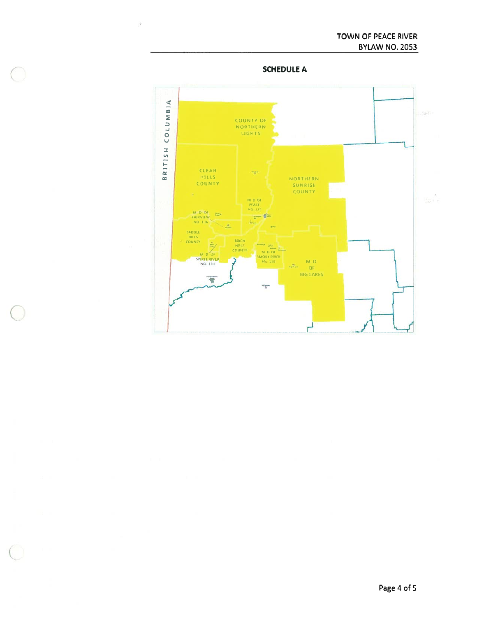**SCHEDULE A** 

 $\tilde{\mathcal{F}}$ 

 $\bigcirc$